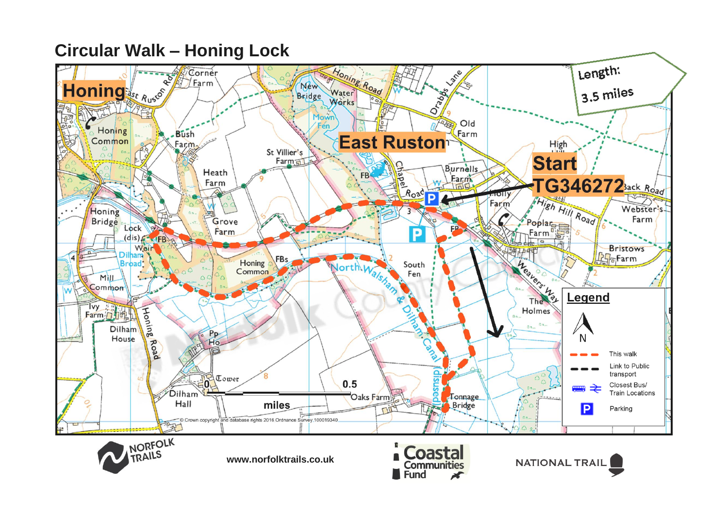# **Circular Walk – Honing Lock**